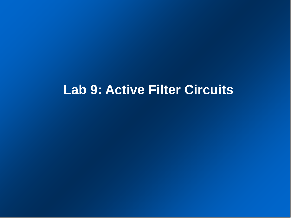# **Lab 9: Active Filter Circuits**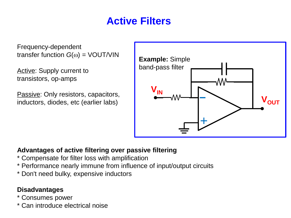## **Active Filters**

Frequency-dependent transfer function  $G(\omega) = VOUT/VIN$ 

Active: Supply current to transistors, op-amps

Passive: Only resistors, capacitors, inductors, diodes, etc (earlier labs)



#### **Advantages of active filtering over passive filtering**

- \* Compensate for filter loss with amplification
- \* Performance nearly immune from influence of input/output circuits
- \* Don't need bulky, expensive inductors

#### **Disadvantages**

- \* Consumes power
- \* Can introduce electrical noise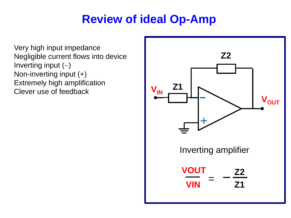## **Review of ideal Op-Amp**

Very high input impedance Negligible current flows into device Inverting input  $(-)$ Non-inverting input (+) Extremely high amplification Clever use of feedback

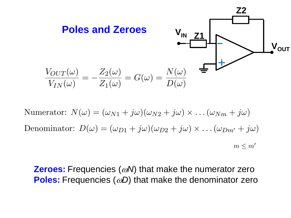

Numerator:  $N(\omega) = (\omega_{N1} + i\omega)(\omega_{N2} + i\omega) \times ... (\omega_{Nm} + i\omega)$ Denominator:  $D(\omega) = (\omega_{D1} + j\omega)(\omega_{D2} + j\omega) \times ... (\omega_{Dm'} + j\omega)$  $m \leq m'$ 

**Zeroes:** Frequencies ( $\omega$ *N*) that make the numerator zero **Poles:** Frequencies ( $\omega$ D) that make the denominator zero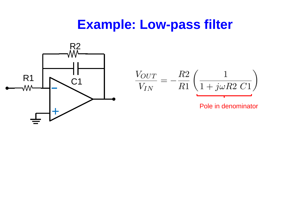# **Example: Low-pass filter**

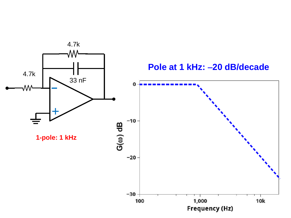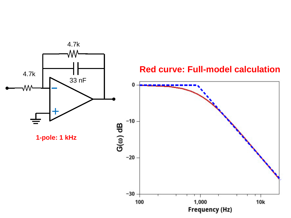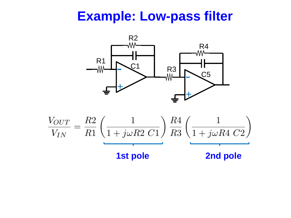# **Example: Low-pass filter**



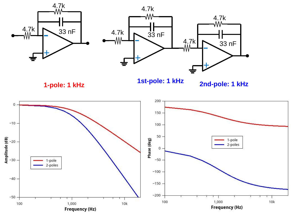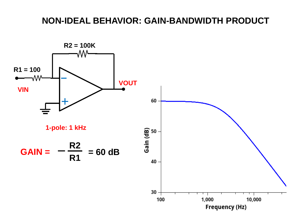### **NON-IDEAL BEHAVIOR: GAIN-BANDWIDTH PRODUCT**